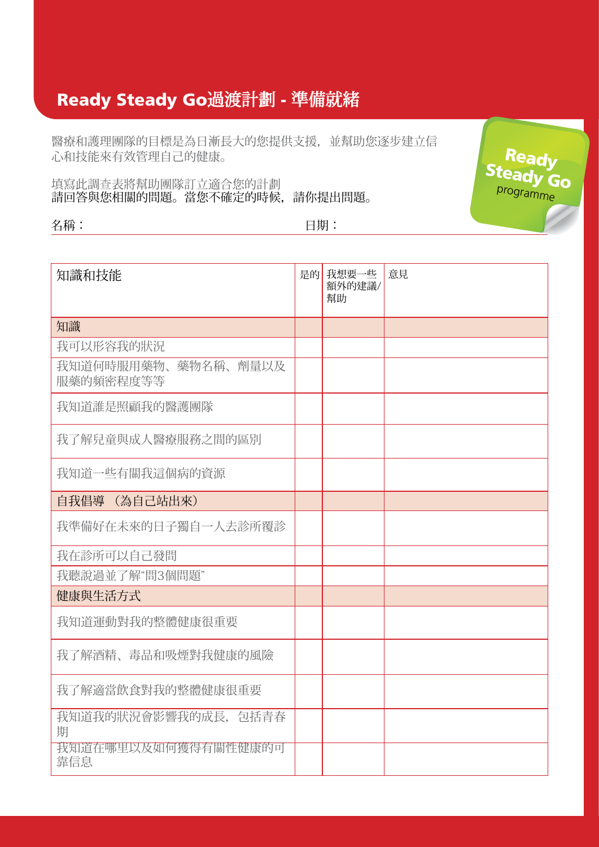## Ready Steady Go過渡計劃 - 準備就緒

醫療和護理團隊的目標是為日漸長大的您提供支援,並幫助您逐步建立信 心和技能來有效管理自己的健康。

填寫此調查表將幫助團隊訂立適合您的計劃 請回答與您相關的問題。當您不確定的時候,請你提出問題。

名稱: 日期:

| 知識和技能                            | 是的 | 我想要一些<br>額外的建議/<br>幫助 | 意見 |
|----------------------------------|----|-----------------------|----|
| 知識                               |    |                       |    |
| 我可以形容我的狀況                        |    |                       |    |
| 我知道何時服用藥物、藥物名稱、劑量以及<br>服藥的頻密程度等等 |    |                       |    |
| 我知道誰是照顧我的醫護團隊                    |    |                       |    |
| 我了解兒童與成人醫療服務之間的區別                |    |                       |    |
| 我知道一些有關我這個病的資源                   |    |                       |    |
| 自我倡導 (為自己站出來)                    |    |                       |    |
| 我準備好在未來的日子獨自一人去診所覆診              |    |                       |    |
| 我在診所可以自己發問                       |    |                       |    |
| 我聽說過並了解"問3個問題"                   |    |                       |    |
| 健康與生活方式                          |    |                       |    |
| 我知道運動對我的整體健康很重要                  |    |                       |    |
| 我了解酒精、毒品和吸煙對我健康的風險               |    |                       |    |
| 我了解適當飲食對我的整體健康很重要                |    |                       |    |
| 我知道我的狀況會影響我的成長, 包括青春<br>期        |    |                       |    |
| 我知道在哪里以及如何獲得有關性健康的可<br>靠信息       |    |                       |    |

Ready Steady Go programme